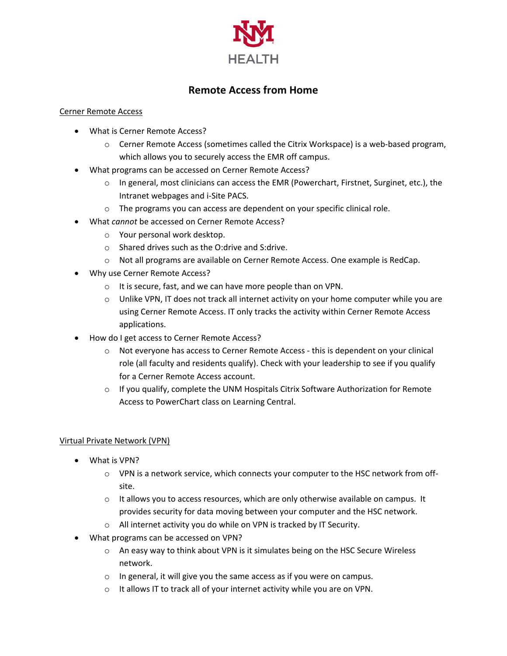

## **Remote Access from Home**

## Cerner Remote Access

- What is Cerner Remote Access?
	- o Cerner Remote Access (sometimes called the Citrix Workspace) is a web-based program, which allows you to securely access the EMR off campus.
- What programs can be accessed on Cerner Remote Access?
	- $\circ$  In general, most clinicians can access the EMR (Powerchart, Firstnet, Surginet, etc.), the Intranet webpages and i-Site PACS.
	- o The programs you can access are dependent on your specific clinical role.
- What *cannot* be accessed on Cerner Remote Access?
	- o Your personal work desktop.
	- o Shared drives such as the O:drive and S:drive.
	- o Not all programs are available on Cerner Remote Access. One example is RedCap.
- Why use Cerner Remote Access?
	- o It is secure, fast, and we can have more people than on VPN.
	- $\circ$  Unlike VPN, IT does not track all internet activity on your home computer while you are using Cerner Remote Access. IT only tracks the activity within Cerner Remote Access applications.
- How do I get access to Cerner Remote Access?
	- o Not everyone has access to Cerner Remote Access this is dependent on your clinical role (all faculty and residents qualify). Check with your leadership to see if you qualify for a Cerner Remote Access account.
	- $\circ$  If you qualify, complete the UNM Hospitals Citrix Software Authorization for Remote Access to PowerChart class on Learning Central.

## Virtual Private Network (VPN)

- What is VPN?
	- o VPN is a network service, which connects your computer to the HSC network from offsite.
	- $\circ$  It allows you to access resources, which are only otherwise available on campus. It provides security for data moving between your computer and the HSC network.
	- o All internet activity you do while on VPN is tracked by IT Security.
	- What programs can be accessed on VPN?
		- $\circ$  An easy way to think about VPN is it simulates being on the HSC Secure Wireless network.
		- o In general, it will give you the same access as if you were on campus.
		- o It allows IT to track all of your internet activity while you are on VPN.